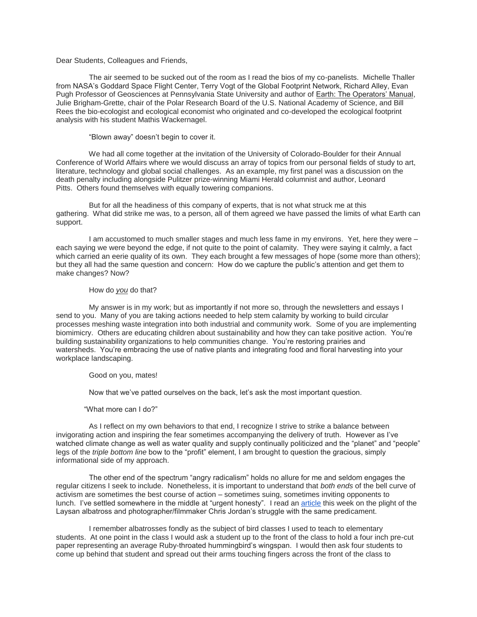# Dear Students, Colleagues and Friends,

 The air seemed to be sucked out of the room as I read the bios of my co-panelists. Michelle Thaller from NASA's Goddard Space Flight Center, Terry Vogt of the Global Footprint Network, Richard Alley, Evan Pugh Professor of Geosciences at Pennsylvania State University and author of Earth: The Operators' Manual, Julie Brigham-Grette, chair of the Polar Research Board of the U.S. National Academy of Science, and Bill Rees the bio-ecologist and ecological economist who originated and co-developed the ecological footprint analysis with his student Mathis Wackernagel.

"Blown away" doesn't begin to cover it.

 We had all come together at the invitation of the University of Colorado-Boulder for their Annual Conference of World Affairs where we would discuss an array of topics from our personal fields of study to art, literature, technology and global social challenges. As an example, my first panel was a discussion on the death penalty including alongside Pulitzer prize-winning Miami Herald columnist and author, Leonard Pitts. Others found themselves with equally towering companions.

 But for all the headiness of this company of experts, that is not what struck me at this gathering. What did strike me was, to a person, all of them agreed we have passed the limits of what Earth can support.

 I am accustomed to much smaller stages and much less fame in my environs. Yet, here they were – each saying we were beyond the edge, if not quite to the point of calamity. They were saying it calmly, a fact which carried an eerie quality of its own. They each brought a few messages of hope (some more than others); but they all had the same question and concern: How do we capture the public's attention and get them to make changes? Now?

### How do *you* do that?

 My answer is in my work; but as importantly if not more so, through the newsletters and essays I send to you. Many of you are taking actions needed to help stem calamity by working to build circular processes meshing waste integration into both industrial and community work. Some of you are implementing biomimicry. Others are educating children about sustainability and how they can take positive action. You're building sustainability organizations to help communities change. You're restoring prairies and watersheds. You're embracing the use of native plants and integrating food and floral harvesting into your workplace landscaping.

## Good on you, mates!

Now that we've patted ourselves on the back, let's ask the most important question.

### "What more can I do?"

 As I reflect on my own behaviors to that end, I recognize I strive to strike a balance between invigorating action and inspiring the fear sometimes accompanying the delivery of truth. However as I've watched climate change as well as water quality and supply continually politicized and the "planet" and "people" legs of the *triple bottom line* bow to the "profit" element, I am brought to question the gracious, simply informational side of my approach.

 The other end of the spectrum "angry radicalism" holds no allure for me and seldom engages the regular citizens I seek to include. Nonetheless, it is important to understand that *both ends* of the bell curve of activism are sometimes the best course of action – sometimes suing, sometimes inviting opponents to lunch. I've settled somewhere in the middle at "urgent honesty". I read an [article](http://www.psmag.com/nature-and-technology/how-we-can-get-people-to-care-about-the-environment) this week on the plight of the Laysan albatross and photographer/filmmaker Chris Jordan's struggle with the same predicament.

 I remember albatrosses fondly as the subject of bird classes I used to teach to elementary students. At one point in the class I would ask a student up to the front of the class to hold a four inch pre-cut paper representing an average Ruby-throated hummingbird's wingspan. I would then ask four students to come up behind that student and spread out their arms touching fingers across the front of the class to